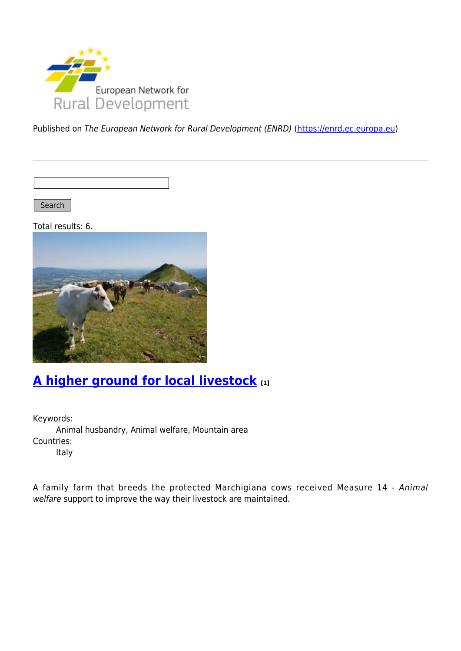

Published on The European Network for Rural Development (ENRD) [\(https://enrd.ec.europa.eu](https://enrd.ec.europa.eu))

Search |

Total results: 6.



### **[A higher ground for local livestock](https://enrd.ec.europa.eu/projects-practice/higher-ground-local-livestock_en) [1]**

Keywords: Animal husbandry, Animal welfare, Mountain area Countries: Italy

A family farm that breeds the protected Marchigiana cows received Measure 14 - Animal welfare support to improve the way their livestock are maintained.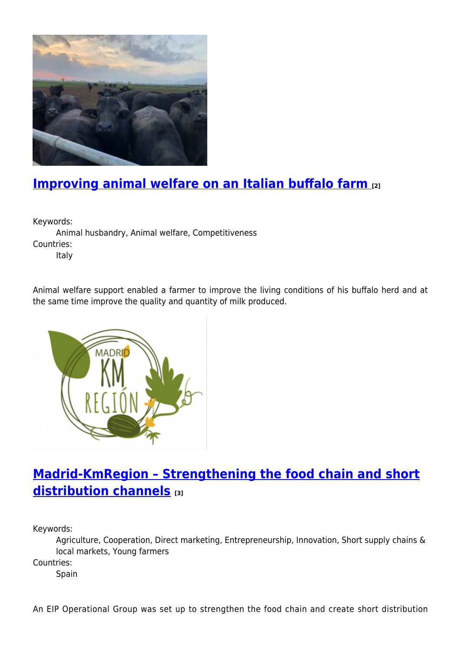

## **[Improving animal welfare on an Italian buffalo farm](https://enrd.ec.europa.eu/projects-practice/improving-animal-welfare-italian-buffalo-farm_en) [2]**

Keywords:

Animal husbandry, Animal welfare, Competitiveness Countries:

Italy

Animal welfare support enabled a farmer to improve the living conditions of his buffalo herd and at the same time improve the quality and quantity of milk produced.



# **[Madrid-KmRegion – Strengthening the food chain and short](https://enrd.ec.europa.eu/projects-practice/madrid-kmregion-strengthening-food-chain-and-short-distribution-channels_en) [distribution channels](https://enrd.ec.europa.eu/projects-practice/madrid-kmregion-strengthening-food-chain-and-short-distribution-channels_en) [3]**

Keywords:

Agriculture, Cooperation, Direct marketing, Entrepreneurship, Innovation, Short supply chains & local markets, Young farmers

Countries:

Spain

An EIP Operational Group was set up to strengthen the food chain and create short distribution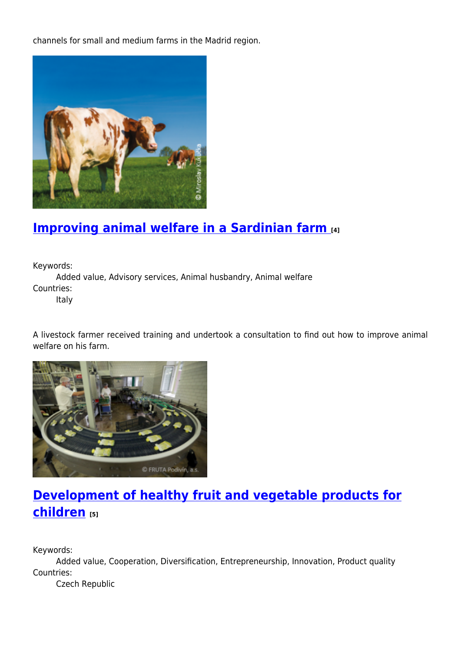channels for small and medium farms in the Madrid region.



### **[Improving animal welfare in a Sardinian farm](https://enrd.ec.europa.eu/projects-practice/improving-animal-welfare-sardinian-farm_en) [4]**

Keywords:

Added value, Advisory services, Animal husbandry, Animal welfare Countries:

Italy

A livestock farmer received training and undertook a consultation to find out how to improve animal welfare on his farm.



# **[Development of healthy fruit and vegetable products for](https://enrd.ec.europa.eu/projects-practice/development-healthy-fruit-and-vegetable-products-children_en) [children](https://enrd.ec.europa.eu/projects-practice/development-healthy-fruit-and-vegetable-products-children_en) [5]**

Keywords:

Added value, Cooperation, Diversification, Entrepreneurship, Innovation, Product quality Countries:

Czech Republic